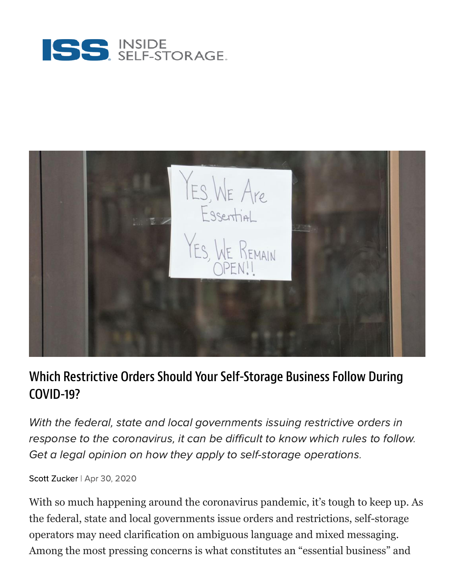



## Which Restrictive Orders Should Your Self-Storage Business Follow During COVID-19?

With the federal, state and local governments issuing restrictive orders in response to the coronavirus, it can be difficult to know which rules to follow. Get a legal opinion on how they apply to self-storage operations.

Scott [Zucker](https://www.insideselfstorage.com/author/Scott-Zucker) | Apr 30, 2020

With so much happening around the coronavirus pandemic, it's tough to keep up. As the federal, state and local governments issue orders and restrictions, self-storage operators may need clarification on ambiguous language and mixed messaging. Among the most pressing concerns is what constitutes an "essential business" and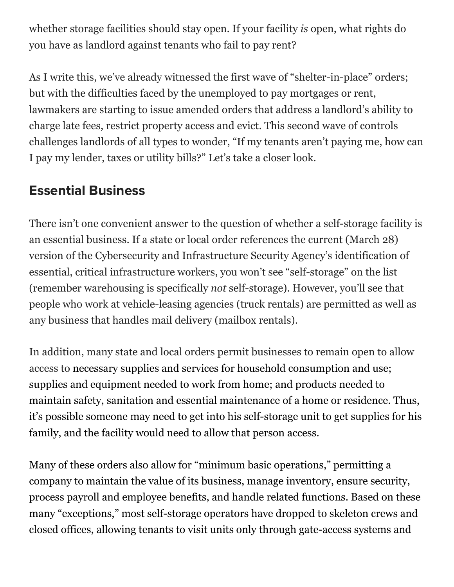whether storage facilities should stay open. If your facility *is* open, what rights do you have as landlord against tenants who fail to pay rent?

As I write this, we've already witnessed the first wave of "shelter-in-place" orders; but with the difficulties faced by the unemployed to pay mortgages or rent, lawmakers are starting to issue amended orders that address a landlord's ability to charge late fees, restrict property access and evict. This second wave of controls challenges landlords of all types to wonder, "If my tenants aren't paying me, how can I pay my lender, taxes or utility bills?" Let's take a closer look.

## Essential Business

There isn't one convenient answer to the question of whether a self-storage facility is an essential business. If a state or local order references the current (March 28) version of the Cybersecurity and Infrastructure Security Agency's identification of essential, critical infrastructure workers, you won't see "self-storage" on the list (remember warehousing is specifically *not* self-storage). However, you'll see that people who work at vehicle-leasing agencies (truck rentals) are permitted as well as any business that handles mail delivery (mailbox rentals).

In addition, many state and local orders permit businesses to remain open to allow access to necessary supplies and services for household consumption and use; supplies and equipment needed to work from home; and products needed to maintain safety, sanitation and essential maintenance of a home or residence. Thus, it's possible someone may need to get into his self-storage unit to get supplies for his family, and the facility would need to allow that person access.

Many of these orders also allow for "minimum basic operations," permitting a company to maintain the value of its business, manage inventory, ensure security, process payroll and employee benefits, and handle related functions. Based on these many "exceptions," most self-storage operators have dropped to skeleton crews and closed offices, allowing tenants to visit units only through gate-access systems and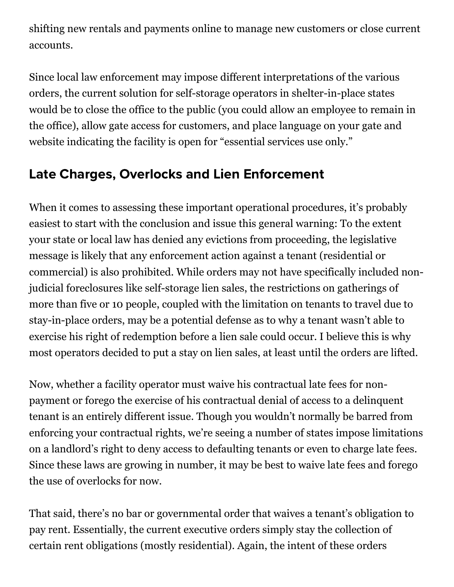shifting new rentals and payments online to manage new customers or close current accounts.

Since local law enforcement may impose different interpretations of the various orders, the current solution for self-storage operators in shelter-in-place states would be to close the office to the public (you could allow an employee to remain in the office), allow gate access for customers, and place language on your gate and website indicating the facility is open for "essential services use only."

## Late Charges, Overlocks and Lien Enforcement

When it comes to assessing these important operational procedures, it's probably easiest to start with the conclusion and issue this general warning: To the extent your state or local law has denied any evictions from proceeding, the legislative message is likely that any enforcement action against a tenant (residential or commercial) is also prohibited. While orders may not have specifically included nonjudicial foreclosures like self-storage lien sales, the restrictions on gatherings of more than five or 10 people, coupled with the limitation on tenants to travel due to stay-in-place orders, may be a potential defense as to why a tenant wasn't able to exercise his right of redemption before a lien sale could occur. I believe this is why most operators decided to put a stay on lien sales, at least until the orders are lifted.

Now, whether a facility operator must waive his contractual late fees for nonpayment or forego the exercise of his contractual denial of access to a delinquent tenant is an entirely different issue. Though you wouldn't normally be barred from enforcing your contractual rights, we're seeing a number of states impose limitations on a landlord's right to deny access to defaulting tenants or even to charge late fees. Since these laws are growing in number, it may be best to waive late fees and forego the use of overlocks for now.

That said, there's no bar or governmental order that waives a tenant's obligation to pay rent. Essentially, the current executive orders simply stay the collection of certain rent obligations (mostly residential). Again, the intent of these orders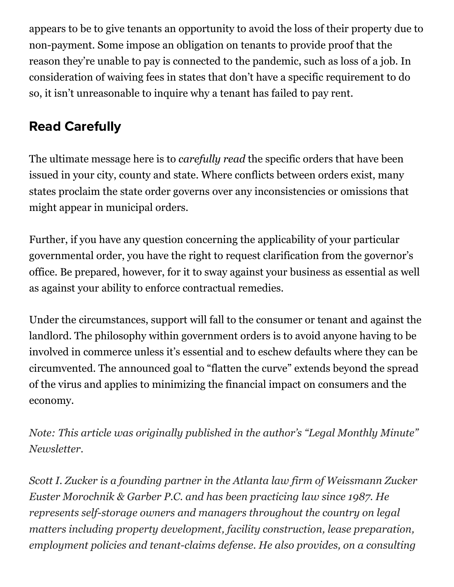appears to be to give tenants an opportunity to avoid the loss of their property due to non-payment. Some impose an obligation on tenants to provide proof that the reason they're unable to pay is connected to the pandemic, such as loss of a job. In consideration of waiving fees in states that don't have a specific requirement to do so, it isn't unreasonable to inquire why a tenant has failed to pay rent.

## Read Carefully

The ultimate message here is to *carefully read* the specific orders that have been issued in your city, county and state. Where conflicts between orders exist, many states proclaim the state order governs over any inconsistencies or omissions that might appear in municipal orders.

Further, if you have any question concerning the applicability of your particular governmental order, you have the right to request clarification from the governor's office. Be prepared, however, for it to sway against your business as essential as well as against your ability to enforce contractual remedies.

Under the circumstances, support will fall to the consumer or tenant and against the landlord. The philosophy within government orders is to avoid anyone having to be involved in commerce unless it's essential and to eschew defaults where they can be circumvented. The announced goal to "flatten the curve" extends beyond the spread of the virus and applies to minimizing the financial impact on consumers and the economy.

*Note: This article was originally published in the author's "Legal Monthly Minute" Newsletter.*

*Scott I. Zucker is a founding partner in the Atlanta law firm of Weissmann Zucker Euster Morochnik & Garber P.C. and has been practicing law since 1987. He represents self-storage owners and managers throughout the country on legal matters including property development, facility construction, lease preparation, employment policies and tenant-claims defense. He also provides, on a consulting*